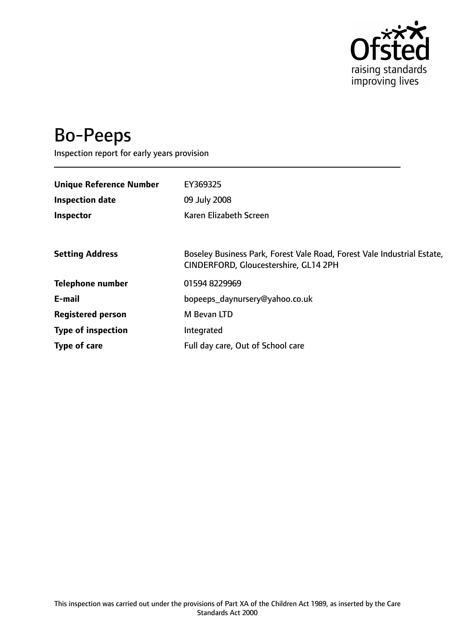

# Bo-Peeps

Inspection report for early years provision

| <b>Unique Reference Number</b> | EY369325                                                                                                         |
|--------------------------------|------------------------------------------------------------------------------------------------------------------|
| <b>Inspection date</b>         | 09 July 2008                                                                                                     |
| Inspector                      | Karen Elizabeth Screen                                                                                           |
|                                |                                                                                                                  |
| <b>Setting Address</b>         | Boseley Business Park, Forest Vale Road, Forest Vale Industrial Estate,<br>CINDERFORD, Gloucestershire, GL14 2PH |
| <b>Telephone number</b>        | 01594 8229969                                                                                                    |
| E-mail                         | bopeeps_daynursery@yahoo.co.uk                                                                                   |
| <b>Registered person</b>       | M Bevan LTD                                                                                                      |
| <b>Type of inspection</b>      | Integrated                                                                                                       |
| Type of care                   | Full day care, Out of School care                                                                                |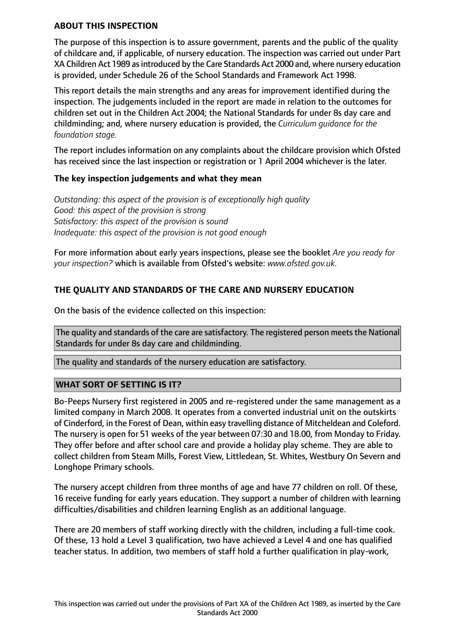#### **ABOUT THIS INSPECTION**

The purpose of this inspection is to assure government, parents and the public of the quality of childcare and, if applicable, of nursery education. The inspection was carried out under Part XA Children Act 1989 asintroduced by the Care Standards Act 2000 and, where nursery education is provided, under Schedule 26 of the School Standards and Framework Act 1998.

This report details the main strengths and any areas for improvement identified during the inspection. The judgements included in the report are made in relation to the outcomes for children set out in the Children Act 2004; the National Standards for under 8s day care and childminding; and, where nursery education is provided, the *Curriculum guidance for the foundation stage.*

The report includes information on any complaints about the childcare provision which Ofsted has received since the last inspection or registration or 1 April 2004 whichever is the later.

## **The key inspection judgements and what they mean**

*Outstanding: this aspect of the provision is of exceptionally high quality Good: this aspect of the provision is strong Satisfactory: this aspect of the provision is sound Inadequate: this aspect of the provision is not good enough*

For more information about early years inspections, please see the booklet *Are you ready for your inspection?* which is available from Ofsted's website: *www.ofsted.gov.uk.*

## **THE QUALITY AND STANDARDS OF THE CARE AND NURSERY EDUCATION**

On the basis of the evidence collected on this inspection:

The quality and standards of the care are satisfactory. The registered person meets the National Standards for under 8s day care and childminding.

The quality and standards of the nursery education are satisfactory.

## **WHAT SORT OF SETTING IS IT?**

Bo-Peeps Nursery first registered in 2005 and re-registered under the same management as a limited company in March 2008. It operates from a converted industrial unit on the outskirts of Cinderford, in the Forest of Dean, within easy travelling distance of Mitcheldean and Coleford. The nursery is open for 51 weeks of the year between 07:30 and 18.00, from Monday to Friday. They offer before and after school care and provide a holiday play scheme. They are able to collect children from Steam Mills, Forest View, Littledean, St. Whites, Westbury On Severn and Longhope Primary schools.

The nursery accept children from three months of age and have 77 children on roll. Of these, 16 receive funding for early years education. They support a number of children with learning difficulties/disabilities and children learning English as an additional language.

There are 20 members of staff working directly with the children, including a full-time cook. Of these, 13 hold a Level 3 qualification, two have achieved a Level 4 and one has qualified teacher status. In addition, two members of staff hold a further qualification in play-work,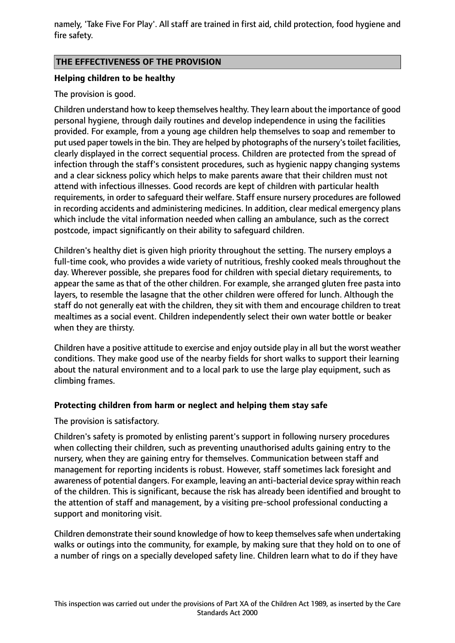namely, 'Take Five For Play'. All staff are trained in first aid, child protection, food hygiene and fire safety.

## **THE EFFECTIVENESS OF THE PROVISION**

## **Helping children to be healthy**

## The provision is good.

Children understand how to keep themselves healthy. They learn about the importance of good personal hygiene, through daily routines and develop independence in using the facilities provided. For example, from a young age children help themselves to soap and remember to put used paper towels in the bin. They are helped by photographs of the nursery's toilet facilities, clearly displayed in the correct sequential process. Children are protected from the spread of infection through the staff's consistent procedures, such as hygienic nappy changing systems and a clear sickness policy which helps to make parents aware that their children must not attend with infectious illnesses. Good records are kept of children with particular health requirements, in order to safeguard their welfare. Staff ensure nursery procedures are followed in recording accidents and administering medicines. In addition, clear medical emergency plans which include the vital information needed when calling an ambulance, such as the correct postcode, impact significantly on their ability to safeguard children.

Children's healthy diet is given high priority throughout the setting. The nursery employs a full-time cook, who provides a wide variety of nutritious, freshly cooked meals throughout the day. Wherever possible, she prepares food for children with special dietary requirements, to appear the same as that of the other children. For example, she arranged gluten free pasta into layers, to resemble the lasagne that the other children were offered for lunch. Although the staff do not generally eat with the children, they sit with them and encourage children to treat mealtimes as a social event. Children independently select their own water bottle or beaker when they are thirsty.

Children have a positive attitude to exercise and enjoy outside play in all but the worst weather conditions. They make good use of the nearby fields for short walks to support their learning about the natural environment and to a local park to use the large play equipment, such as climbing frames.

## **Protecting children from harm or neglect and helping them stay safe**

The provision is satisfactory.

Children's safety is promoted by enlisting parent's support in following nursery procedures when collecting their children, such as preventing unauthorised adults gaining entry to the nursery, when they are gaining entry for themselves. Communication between staff and management for reporting incidents is robust. However, staff sometimes lack foresight and awareness of potential dangers. For example, leaving an anti-bacterial device spray within reach of the children. This is significant, because the risk has already been identified and brought to the attention of staff and management, by a visiting pre-school professional conducting a support and monitoring visit.

Children demonstrate their sound knowledge of how to keep themselves safe when undertaking walks or outings into the community, for example, by making sure that they hold on to one of a number of rings on a specially developed safety line. Children learn what to do if they have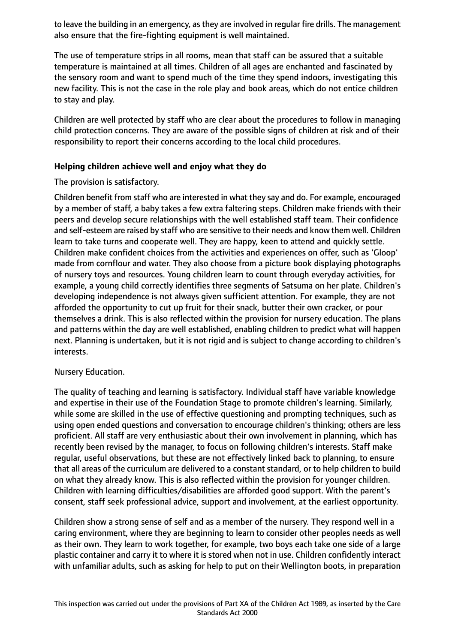to leave the building in an emergency, as they are involved in regular fire drills. The management also ensure that the fire-fighting equipment is well maintained.

The use of temperature strips in all rooms, mean that staff can be assured that a suitable temperature is maintained at all times. Children of all ages are enchanted and fascinated by the sensory room and want to spend much of the time they spend indoors, investigating this new facility. This is not the case in the role play and book areas, which do not entice children to stay and play.

Children are well protected by staff who are clear about the procedures to follow in managing child protection concerns. They are aware of the possible signs of children at risk and of their responsibility to report their concerns according to the local child procedures.

## **Helping children achieve well and enjoy what they do**

## The provision is satisfactory.

Children benefit from staff who are interested in what they say and do. For example, encouraged by a member of staff, a baby takes a few extra faltering steps. Children make friends with their peers and develop secure relationships with the well established staff team. Their confidence and self-esteem are raised by staff who are sensitive to their needs and know them well. Children learn to take turns and cooperate well. They are happy, keen to attend and quickly settle. Children make confident choices from the activities and experiences on offer, such as 'Gloop' made from cornflour and water. They also choose from a picture book displaying photographs of nursery toys and resources. Young children learn to count through everyday activities, for example, a young child correctly identifies three segments of Satsuma on her plate. Children's developing independence is not always given sufficient attention. For example, they are not afforded the opportunity to cut up fruit for their snack, butter their own cracker, or pour themselves a drink. This is also reflected within the provision for nursery education. The plans and patterns within the day are well established, enabling children to predict what will happen next. Planning is undertaken, but it is not rigid and is subject to change according to children's interests.

## Nursery Education.

The quality of teaching and learning is satisfactory. Individual staff have variable knowledge and expertise in their use of the Foundation Stage to promote children's learning. Similarly, while some are skilled in the use of effective questioning and prompting techniques, such as using open ended questions and conversation to encourage children's thinking; others are less proficient. All staff are very enthusiastic about their own involvement in planning, which has recently been revised by the manager, to focus on following children's interests. Staff make regular, useful observations, but these are not effectively linked back to planning, to ensure that all areas of the curriculum are delivered to a constant standard, or to help children to build on what they already know. This is also reflected within the provision for younger children. Children with learning difficulties/disabilities are afforded good support. With the parent's consent, staff seek professional advice, support and involvement, at the earliest opportunity.

Children show a strong sense of self and as a member of the nursery. They respond well in a caring environment, where they are beginning to learn to consider other peoples needs as well as their own. They learn to work together, for example, two boys each take one side of a large plastic container and carry it to where it is stored when not in use. Children confidently interact with unfamiliar adults, such as asking for help to put on their Wellington boots, in preparation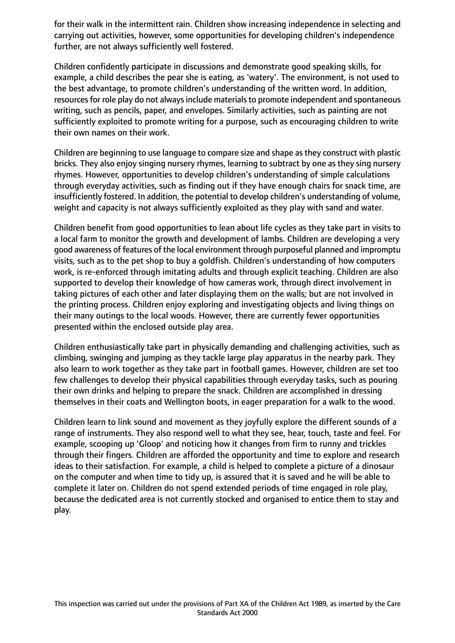for their walk in the intermittent rain. Children show increasing independence in selecting and carrying out activities, however, some opportunities for developing children's independence further, are not always sufficiently well fostered.

Children confidently participate in discussions and demonstrate good speaking skills, for example, a child describes the pear she is eating, as 'watery'. The environment, is not used to the best advantage, to promote children's understanding of the written word. In addition, resources for role play do not always include materials to promote independent and spontaneous writing, such as pencils, paper, and envelopes. Similarly activities, such as painting are not sufficiently exploited to promote writing for a purpose, such as encouraging children to write their own names on their work.

Children are beginning to use language to compare size and shape as they construct with plastic bricks. They also enjoy singing nursery rhymes, learning to subtract by one as they sing nursery rhymes. However, opportunities to develop children's understanding of simple calculations through everyday activities, such as finding out if they have enough chairs for snack time, are insufficiently fostered. In addition, the potential to develop children's understanding of volume, weight and capacity is not always sufficiently exploited as they play with sand and water.

Children benefit from good opportunities to lean about life cycles as they take part in visits to a local farm to monitor the growth and development of lambs. Children are developing a very good awareness of features of the local environment through purposeful planned and impromptu visits, such as to the pet shop to buy a goldfish. Children's understanding of how computers work, is re-enforced through imitating adults and through explicit teaching. Children are also supported to develop their knowledge of how cameras work, through direct involvement in taking pictures of each other and later displaying them on the walls; but are not involved in the printing process. Children enjoy exploring and investigating objects and living things on their many outings to the local woods. However, there are currently fewer opportunities presented within the enclosed outside play area.

Children enthusiastically take part in physically demanding and challenging activities, such as climbing, swinging and jumping as they tackle large play apparatus in the nearby park. They also learn to work together as they take part in football games. However, children are set too few challenges to develop their physical capabilities through everyday tasks, such as pouring their own drinks and helping to prepare the snack. Children are accomplished in dressing themselves in their coats and Wellington boots, in eager preparation for a walk to the wood.

Children learn to link sound and movement as they joyfully explore the different sounds of a range of instruments. They also respond well to what they see, hear, touch, taste and feel. For example, scooping up 'Gloop' and noticing how it changes from firm to runny and trickles through their fingers. Children are afforded the opportunity and time to explore and research ideas to their satisfaction. For example, a child is helped to complete a picture of a dinosaur on the computer and when time to tidy up, is assured that it is saved and he will be able to complete it later on. Children do not spend extended periods of time engaged in role play, because the dedicated area is not currently stocked and organised to entice them to stay and play.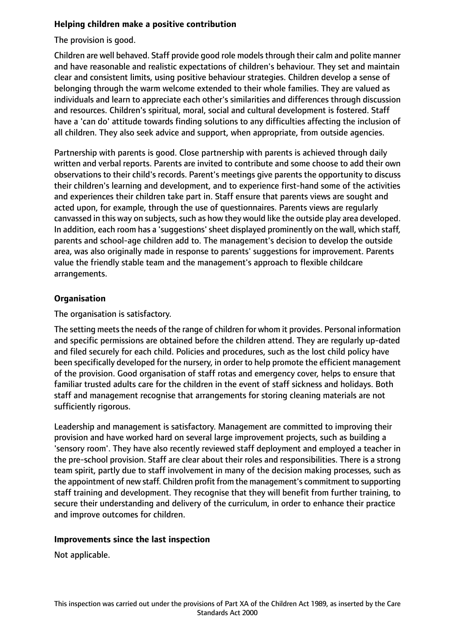## **Helping children make a positive contribution**

The provision is good.

Children are well behaved. Staff provide good role models through their calm and polite manner and have reasonable and realistic expectations of children's behaviour. They set and maintain clear and consistent limits, using positive behaviour strategies. Children develop a sense of belonging through the warm welcome extended to their whole families. They are valued as individuals and learn to appreciate each other's similarities and differences through discussion and resources. Children's spiritual, moral, social and cultural development is fostered. Staff have a 'can do' attitude towards finding solutions to any difficulties affecting the inclusion of all children. They also seek advice and support, when appropriate, from outside agencies.

Partnership with parents is good. Close partnership with parents is achieved through daily written and verbal reports. Parents are invited to contribute and some choose to add their own observations to their child's records. Parent's meetings give parents the opportunity to discuss their children's learning and development, and to experience first-hand some of the activities and experiences their children take part in. Staff ensure that parents views are sought and acted upon, for example, through the use of questionnaires. Parents views are regularly canvassed in this way on subjects, such as how they would like the outside play area developed. In addition, each room has a 'suggestions' sheet displayed prominently on the wall, which staff, parents and school-age children add to. The management's decision to develop the outside area, was also originally made in response to parents' suggestions for improvement. Parents value the friendly stable team and the management's approach to flexible childcare arrangements.

## **Organisation**

The organisation is satisfactory.

The setting meets the needs of the range of children for whom it provides. Personal information and specific permissions are obtained before the children attend. They are regularly up-dated and filed securely for each child. Policies and procedures, such as the lost child policy have been specifically developed for the nursery, in order to help promote the efficient management of the provision. Good organisation of staff rotas and emergency cover, helps to ensure that familiar trusted adults care for the children in the event of staff sickness and holidays. Both staff and management recognise that arrangements for storing cleaning materials are not sufficiently rigorous.

Leadership and management is satisfactory. Management are committed to improving their provision and have worked hard on several large improvement projects, such as building a 'sensory room'. They have also recently reviewed staff deployment and employed a teacher in the pre-school provision. Staff are clear about their roles and responsibilities. There is a strong team spirit, partly due to staff involvement in many of the decision making processes, such as the appointment of new staff. Children profit from the management's commitment to supporting staff training and development. They recognise that they will benefit from further training, to secure their understanding and delivery of the curriculum, in order to enhance their practice and improve outcomes for children.

## **Improvements since the last inspection**

Not applicable.